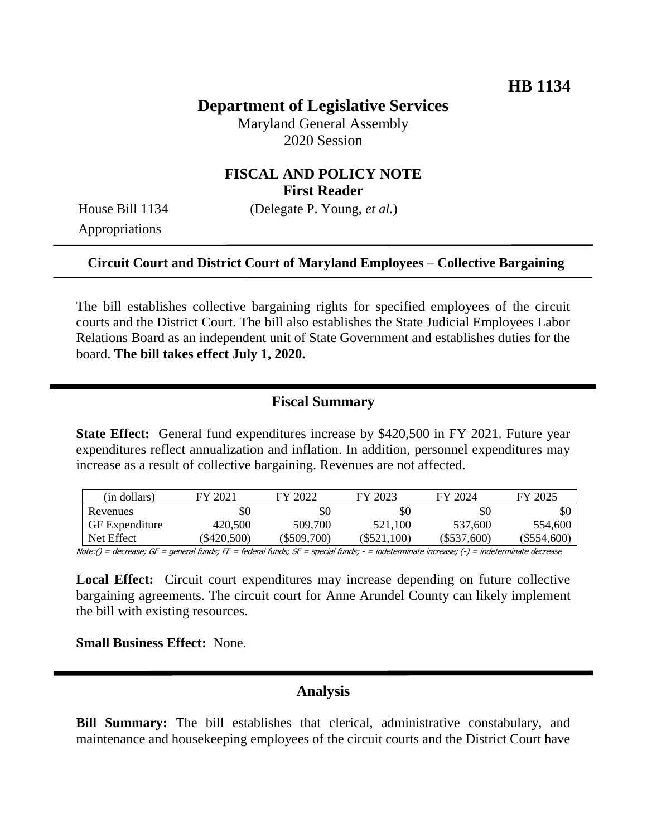# **Department of Legislative Services**

Maryland General Assembly 2020 Session

## **FISCAL AND POLICY NOTE First Reader**

House Bill 1134 (Delegate P. Young, *et al.*)

Appropriations

#### **Circuit Court and District Court of Maryland Employees – Collective Bargaining**

The bill establishes collective bargaining rights for specified employees of the circuit courts and the District Court. The bill also establishes the State Judicial Employees Labor Relations Board as an independent unit of State Government and establishes duties for the board. **The bill takes effect July 1, 2020.**

#### **Fiscal Summary**

**State Effect:** General fund expenditures increase by \$420,500 in FY 2021. Future year expenditures reflect annualization and inflation. In addition, personnel expenditures may increase as a result of collective bargaining. Revenues are not affected.

| (in dollars)          | FY 2021   | FY 2022   | FY 2023       | FY 2024       | FY 2025       |
|-----------------------|-----------|-----------|---------------|---------------|---------------|
| Revenues              |           | \$0       | \$0           | \$0           |               |
| <b>GF</b> Expenditure | 420,500   | 509,700   | 521,100       | 537,600       | 554,600       |
| Net Effect            | \$420,500 | \$509,700 | $(\$521,100)$ | $(\$537,600)$ | $(\$554,600)$ |

Note:() = decrease; GF = general funds; FF = federal funds; SF = special funds; - = indeterminate increase;  $(\cdot)$  = indeterminate decrease

**Local Effect:** Circuit court expenditures may increase depending on future collective bargaining agreements. The circuit court for Anne Arundel County can likely implement the bill with existing resources.

**Small Business Effect:** None.

### **Analysis**

**Bill Summary:** The bill establishes that clerical, administrative constabulary, and maintenance and housekeeping employees of the circuit courts and the District Court have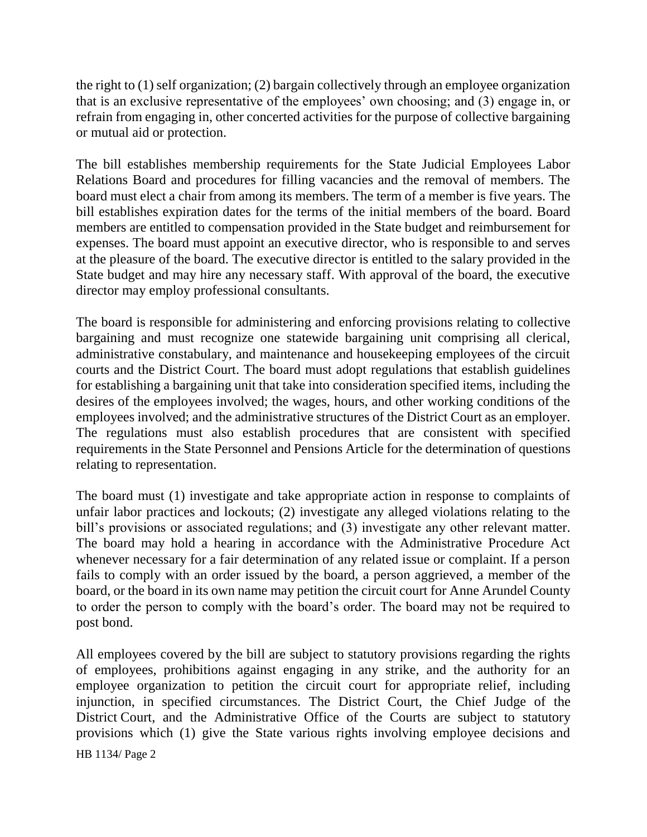the right to (1) self organization; (2) bargain collectively through an employee organization that is an exclusive representative of the employees' own choosing; and (3) engage in, or refrain from engaging in, other concerted activities for the purpose of collective bargaining or mutual aid or protection.

The bill establishes membership requirements for the State Judicial Employees Labor Relations Board and procedures for filling vacancies and the removal of members. The board must elect a chair from among its members. The term of a member is five years. The bill establishes expiration dates for the terms of the initial members of the board. Board members are entitled to compensation provided in the State budget and reimbursement for expenses. The board must appoint an executive director, who is responsible to and serves at the pleasure of the board. The executive director is entitled to the salary provided in the State budget and may hire any necessary staff. With approval of the board, the executive director may employ professional consultants.

The board is responsible for administering and enforcing provisions relating to collective bargaining and must recognize one statewide bargaining unit comprising all clerical, administrative constabulary, and maintenance and housekeeping employees of the circuit courts and the District Court. The board must adopt regulations that establish guidelines for establishing a bargaining unit that take into consideration specified items, including the desires of the employees involved; the wages, hours, and other working conditions of the employees involved; and the administrative structures of the District Court as an employer. The regulations must also establish procedures that are consistent with specified requirements in the State Personnel and Pensions Article for the determination of questions relating to representation.

The board must (1) investigate and take appropriate action in response to complaints of unfair labor practices and lockouts; (2) investigate any alleged violations relating to the bill's provisions or associated regulations; and (3) investigate any other relevant matter. The board may hold a hearing in accordance with the Administrative Procedure Act whenever necessary for a fair determination of any related issue or complaint. If a person fails to comply with an order issued by the board, a person aggrieved, a member of the board, or the board in its own name may petition the circuit court for Anne Arundel County to order the person to comply with the board's order. The board may not be required to post bond.

All employees covered by the bill are subject to statutory provisions regarding the rights of employees, prohibitions against engaging in any strike, and the authority for an employee organization to petition the circuit court for appropriate relief, including injunction, in specified circumstances. The District Court, the Chief Judge of the District Court, and the Administrative Office of the Courts are subject to statutory provisions which (1) give the State various rights involving employee decisions and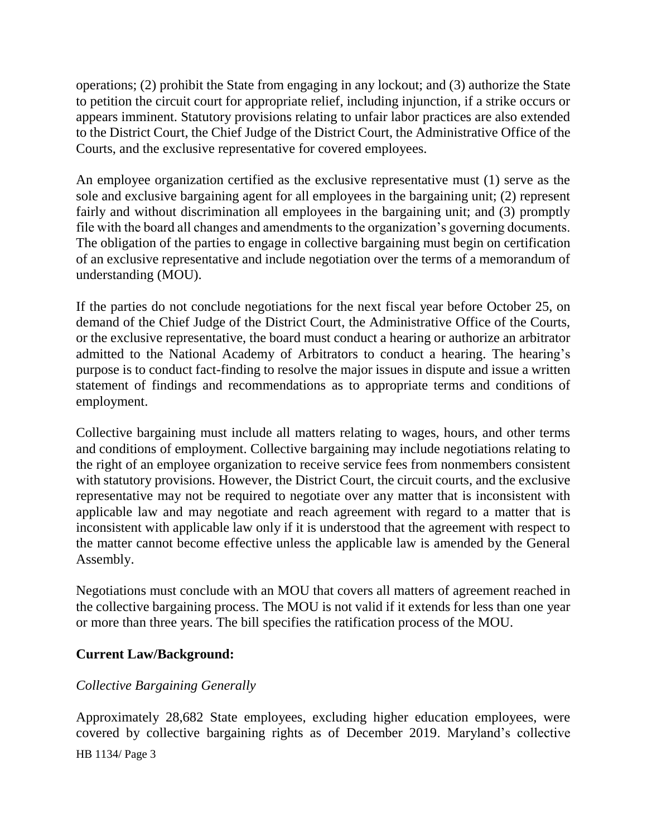operations; (2) prohibit the State from engaging in any lockout; and (3) authorize the State to petition the circuit court for appropriate relief, including injunction, if a strike occurs or appears imminent. Statutory provisions relating to unfair labor practices are also extended to the District Court, the Chief Judge of the District Court, the Administrative Office of the Courts, and the exclusive representative for covered employees.

An employee organization certified as the exclusive representative must (1) serve as the sole and exclusive bargaining agent for all employees in the bargaining unit; (2) represent fairly and without discrimination all employees in the bargaining unit; and (3) promptly file with the board all changes and amendments to the organization's governing documents. The obligation of the parties to engage in collective bargaining must begin on certification of an exclusive representative and include negotiation over the terms of a memorandum of understanding (MOU).

If the parties do not conclude negotiations for the next fiscal year before October 25, on demand of the Chief Judge of the District Court, the Administrative Office of the Courts, or the exclusive representative, the board must conduct a hearing or authorize an arbitrator admitted to the National Academy of Arbitrators to conduct a hearing. The hearing's purpose is to conduct fact-finding to resolve the major issues in dispute and issue a written statement of findings and recommendations as to appropriate terms and conditions of employment.

Collective bargaining must include all matters relating to wages, hours, and other terms and conditions of employment. Collective bargaining may include negotiations relating to the right of an employee organization to receive service fees from nonmembers consistent with statutory provisions. However, the District Court, the circuit courts, and the exclusive representative may not be required to negotiate over any matter that is inconsistent with applicable law and may negotiate and reach agreement with regard to a matter that is inconsistent with applicable law only if it is understood that the agreement with respect to the matter cannot become effective unless the applicable law is amended by the General Assembly.

Negotiations must conclude with an MOU that covers all matters of agreement reached in the collective bargaining process. The MOU is not valid if it extends for less than one year or more than three years. The bill specifies the ratification process of the MOU.

## **Current Law/Background:**

## *Collective Bargaining Generally*

Approximately 28,682 State employees, excluding higher education employees, were covered by collective bargaining rights as of December 2019. Maryland's collective

HB 1134/ Page 3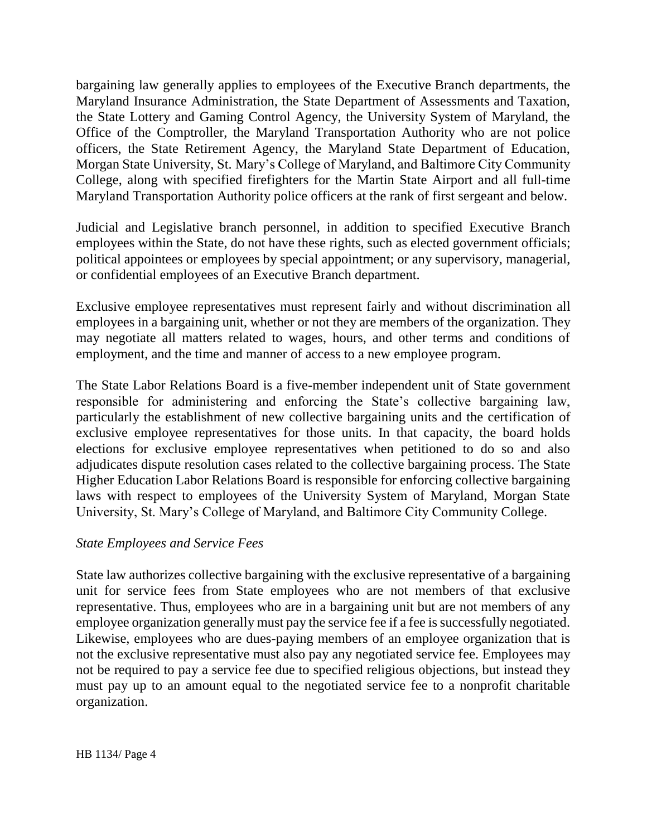bargaining law generally applies to employees of the Executive Branch departments, the Maryland Insurance Administration, the State Department of Assessments and Taxation, the State Lottery and Gaming Control Agency, the University System of Maryland, the Office of the Comptroller, the Maryland Transportation Authority who are not police officers, the State Retirement Agency, the Maryland State Department of Education, Morgan State University, St. Mary's College of Maryland, and Baltimore City Community College, along with specified firefighters for the Martin State Airport and all full-time Maryland Transportation Authority police officers at the rank of first sergeant and below.

Judicial and Legislative branch personnel, in addition to specified Executive Branch employees within the State, do not have these rights, such as elected government officials; political appointees or employees by special appointment; or any supervisory, managerial, or confidential employees of an Executive Branch department.

Exclusive employee representatives must represent fairly and without discrimination all employees in a bargaining unit, whether or not they are members of the organization. They may negotiate all matters related to wages, hours, and other terms and conditions of employment, and the time and manner of access to a new employee program.

The State Labor Relations Board is a five-member independent unit of State government responsible for administering and enforcing the State's collective bargaining law, particularly the establishment of new collective bargaining units and the certification of exclusive employee representatives for those units. In that capacity, the board holds elections for exclusive employee representatives when petitioned to do so and also adjudicates dispute resolution cases related to the collective bargaining process. The State Higher Education Labor Relations Board is responsible for enforcing collective bargaining laws with respect to employees of the University System of Maryland, Morgan State University, St. Mary's College of Maryland, and Baltimore City Community College.

### *State Employees and Service Fees*

State law authorizes collective bargaining with the exclusive representative of a bargaining unit for service fees from State employees who are not members of that exclusive representative. Thus, employees who are in a bargaining unit but are not members of any employee organization generally must pay the service fee if a fee is successfully negotiated. Likewise, employees who are dues-paying members of an employee organization that is not the exclusive representative must also pay any negotiated service fee. Employees may not be required to pay a service fee due to specified religious objections, but instead they must pay up to an amount equal to the negotiated service fee to a nonprofit charitable organization.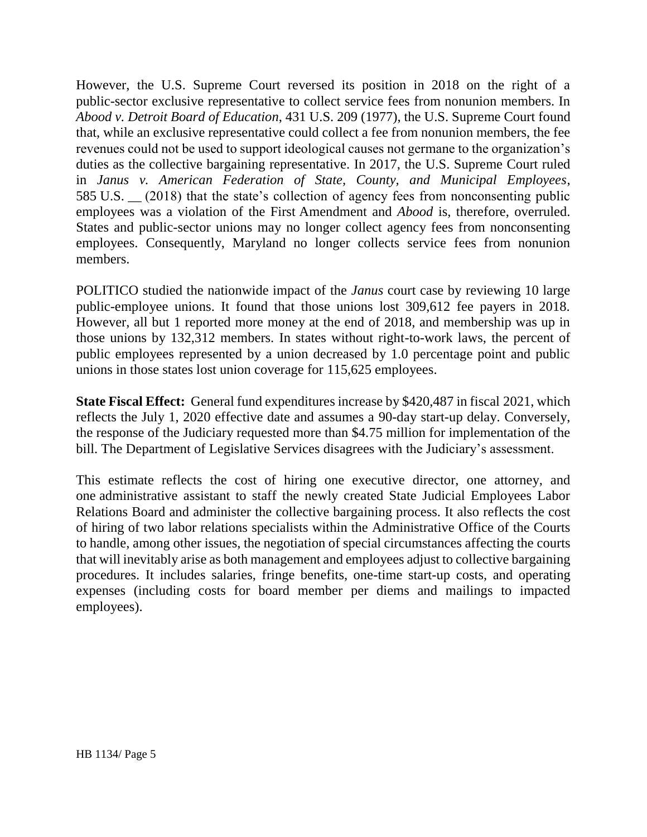However, the U.S. Supreme Court reversed its position in 2018 on the right of a public-sector exclusive representative to collect service fees from nonunion members. In *Abood v. Detroit Board of Education*, 431 U.S. 209 (1977), the U.S. Supreme Court found that, while an exclusive representative could collect a fee from nonunion members, the fee revenues could not be used to support ideological causes not germane to the organization's duties as the collective bargaining representative. In 2017, the U.S. Supreme Court ruled in *Janus v. American Federation of State, County, and Municipal Employees*, 585 U.S. \_\_ (2018) that the state's collection of agency fees from nonconsenting public employees was a violation of the First Amendment and *Abood* is, therefore, overruled. States and public-sector unions may no longer collect agency fees from nonconsenting employees. Consequently, Maryland no longer collects service fees from nonunion members.

POLITICO studied the nationwide impact of the *Janus* court case by reviewing 10 large public-employee unions. It found that those unions lost 309,612 fee payers in 2018. However, all but 1 reported more money at the end of 2018, and membership was up in those unions by 132,312 members. In states without right-to-work laws, the percent of public employees represented by a union decreased by 1.0 percentage point and public unions in those states lost union coverage for 115,625 employees.

**State Fiscal Effect:** General fund expenditures increase by \$420,487 in fiscal 2021, which reflects the July 1, 2020 effective date and assumes a 90-day start-up delay. Conversely, the response of the Judiciary requested more than \$4.75 million for implementation of the bill. The Department of Legislative Services disagrees with the Judiciary's assessment.

This estimate reflects the cost of hiring one executive director, one attorney, and one administrative assistant to staff the newly created State Judicial Employees Labor Relations Board and administer the collective bargaining process. It also reflects the cost of hiring of two labor relations specialists within the Administrative Office of the Courts to handle, among other issues, the negotiation of special circumstances affecting the courts that will inevitably arise as both management and employees adjust to collective bargaining procedures. It includes salaries, fringe benefits, one-time start-up costs, and operating expenses (including costs for board member per diems and mailings to impacted employees).